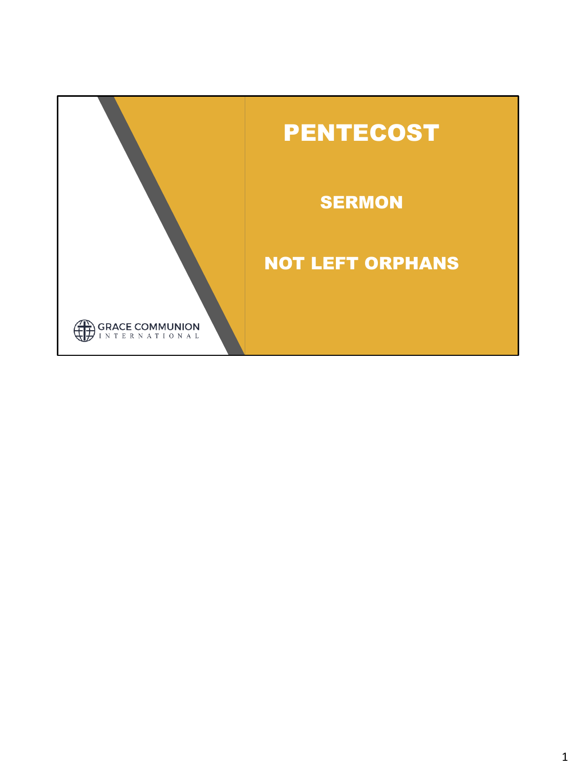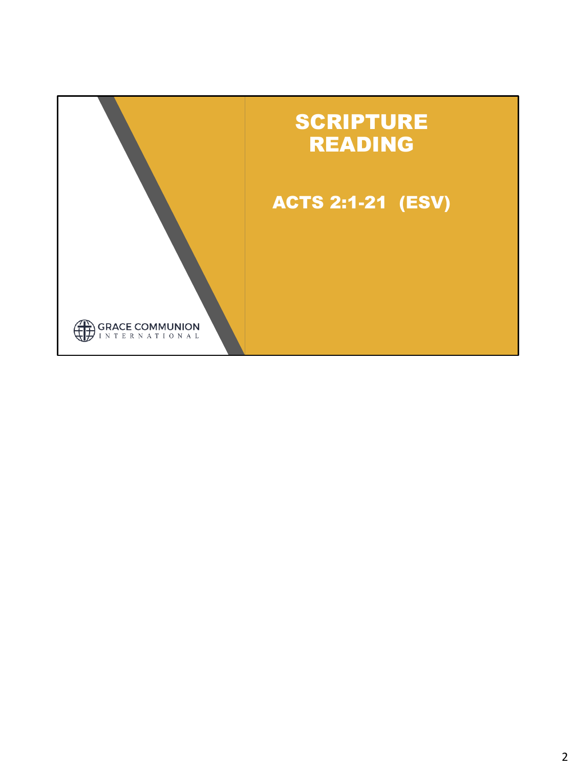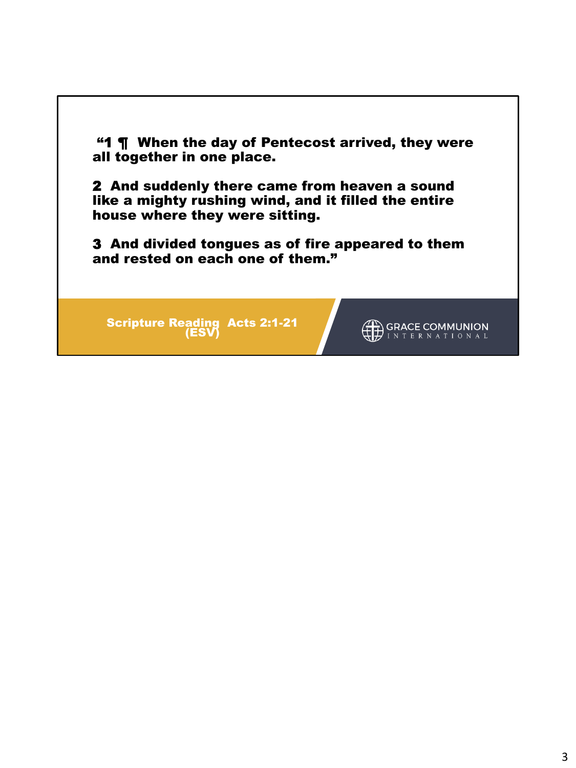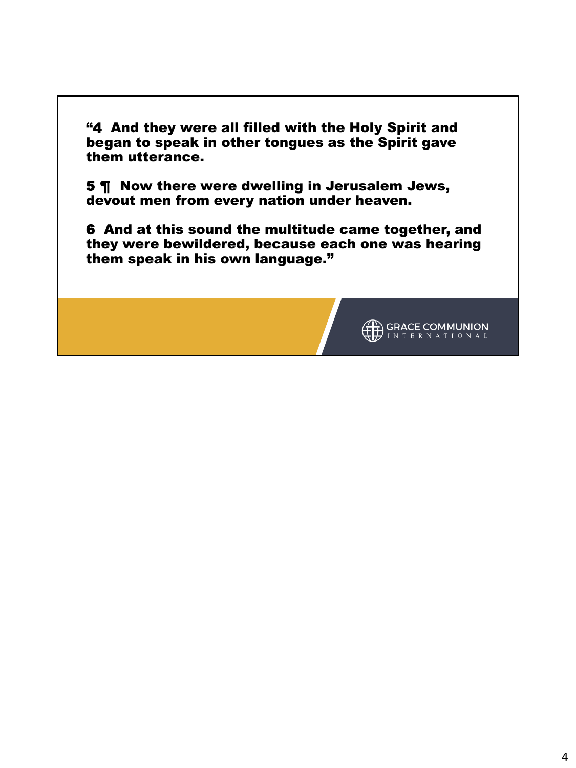"4 And they were all filled with the Holy Spirit and began to speak in other tongues as the Spirit gave them utterance.

5 ¶ Now there were dwelling in Jerusalem Jews, devout men from every nation under heaven.

6 And at this sound the multitude came together, and they were bewildered, because each one was hearing them speak in his own language."

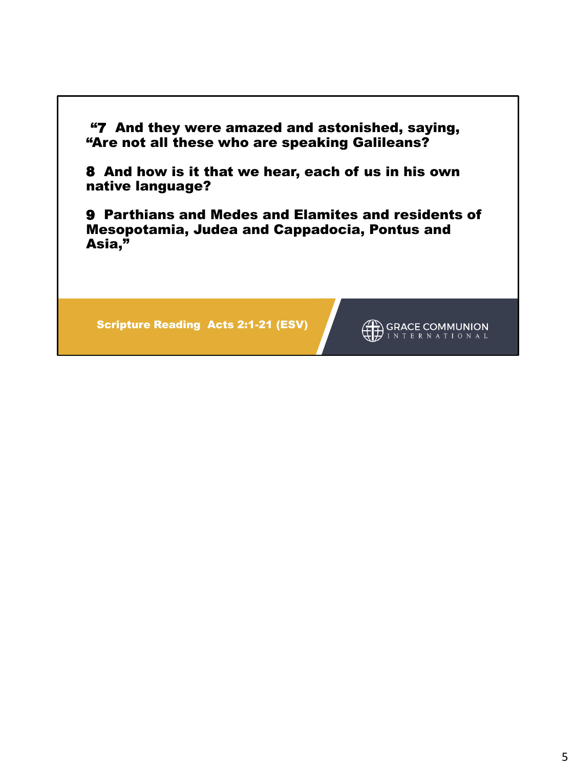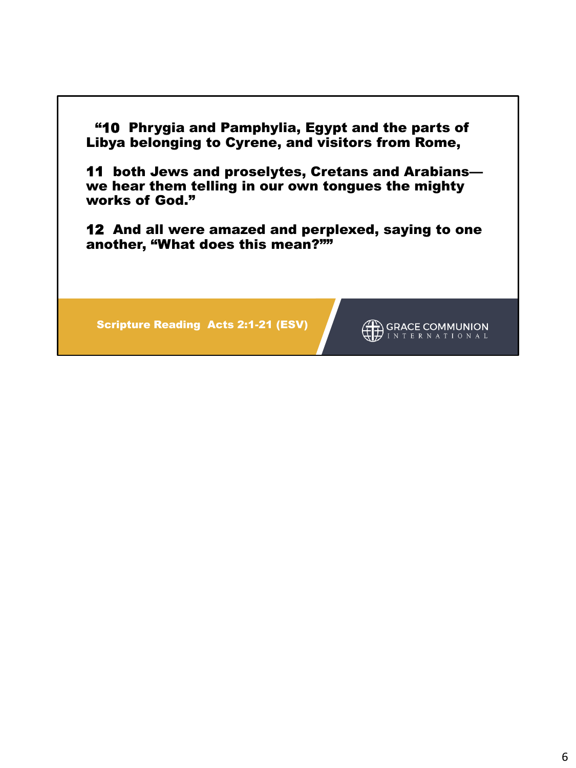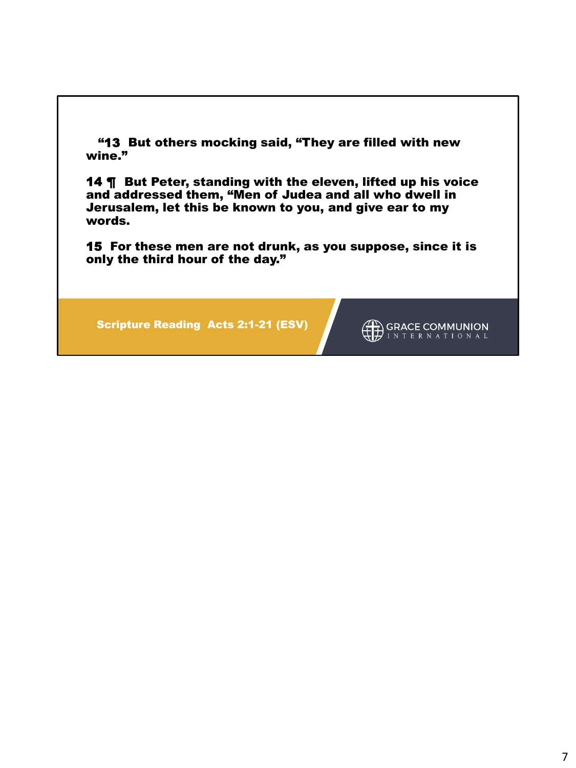"13 But others mocking said, "They are filled with new wine."

14 ¶ But Peter, standing with the eleven, lifted up his voice and addressed them, "Men of Judea and all who dwell in Jerusalem, let this be known to you, and give ear to my words.

15 For these men are not drunk, as you suppose, since it is only the third hour of the day."

Scripture Reading Acts 2:1-21 (ESV)

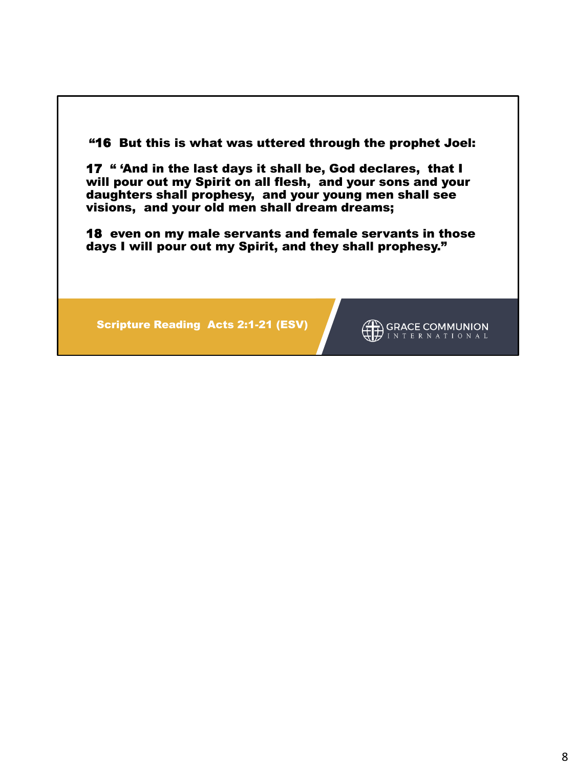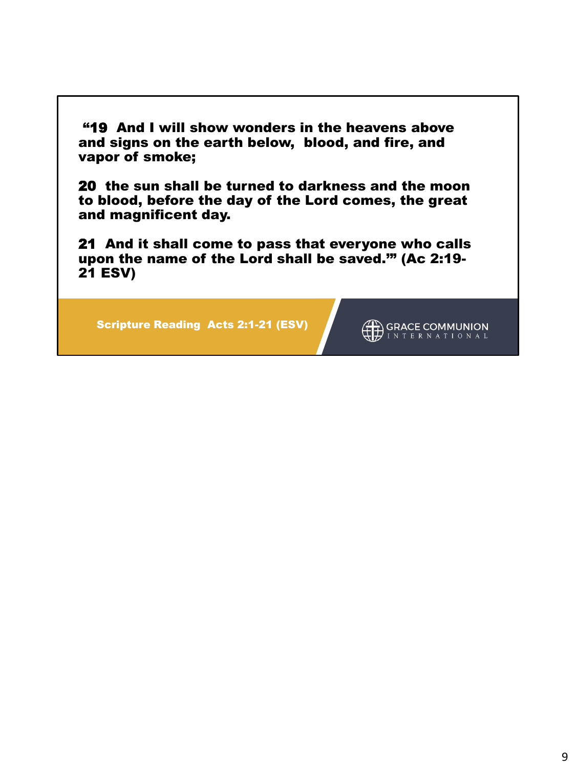"19 And I will show wonders in the heavens above and signs on the earth below, blood, and fire, and vapor of smoke;

20 the sun shall be turned to darkness and the moon to blood, before the day of the Lord comes, the great and magnificent day.

21 And it shall come to pass that everyone who calls upon the name of the Lord shall be saved.'" (Ac 2:19- 21 ESV)

Scripture Reading Acts 2:1-21 (ESV)

GRACE COMMUNION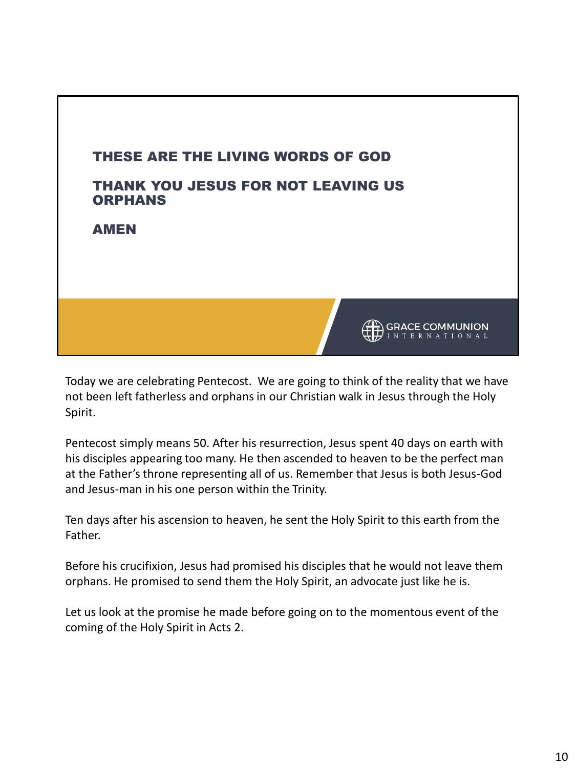

Today we are celebrating Pentecost. We are going to think of the reality that we have not been left fatherless and orphans in our Christian walk in Jesus through the Holy Spirit.

Pentecost simply means 50. After his resurrection, Jesus spent 40 days on earth with his disciples appearing too many. He then ascended to heaven to be the perfect man at the Father's throne representing all of us. Remember that Jesus is both Jesus-God and Jesus-man in his one person within the Trinity.

Ten days after his ascension to heaven, he sent the Holy Spirit to this earth from the Father.

Before his crucifixion, Jesus had promised his disciples that he would not leave them orphans. He promised to send them the Holy Spirit, an advocate just like he is.

Let us look at the promise he made before going on to the momentous event of the coming of the Holy Spirit in Acts 2.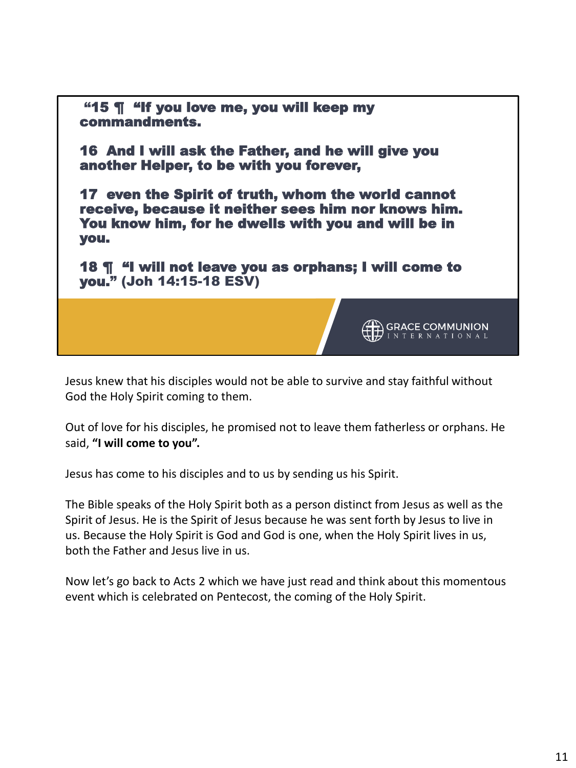

Jesus knew that his disciples would not be able to survive and stay faithful without God the Holy Spirit coming to them.

Out of love for his disciples, he promised not to leave them fatherless or orphans. He said, **"I will come to you".**

Jesus has come to his disciples and to us by sending us his Spirit.

The Bible speaks of the Holy Spirit both as a person distinct from Jesus as well as the Spirit of Jesus. He is the Spirit of Jesus because he was sent forth by Jesus to live in us. Because the Holy Spirit is God and God is one, when the Holy Spirit lives in us, both the Father and Jesus live in us.

Now let's go back to Acts 2 which we have just read and think about this momentous event which is celebrated on Pentecost, the coming of the Holy Spirit.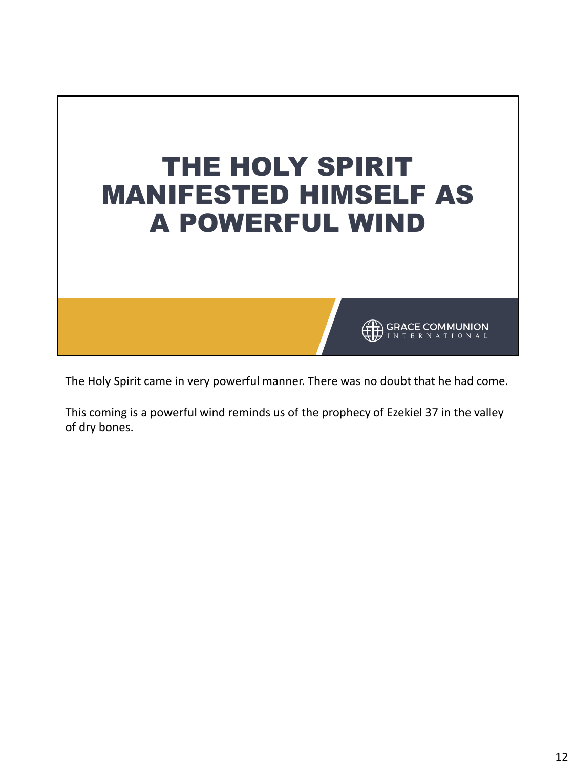

The Holy Spirit came in very powerful manner. There was no doubt that he had come.

This coming is a powerful wind reminds us of the prophecy of Ezekiel 37 in the valley of dry bones.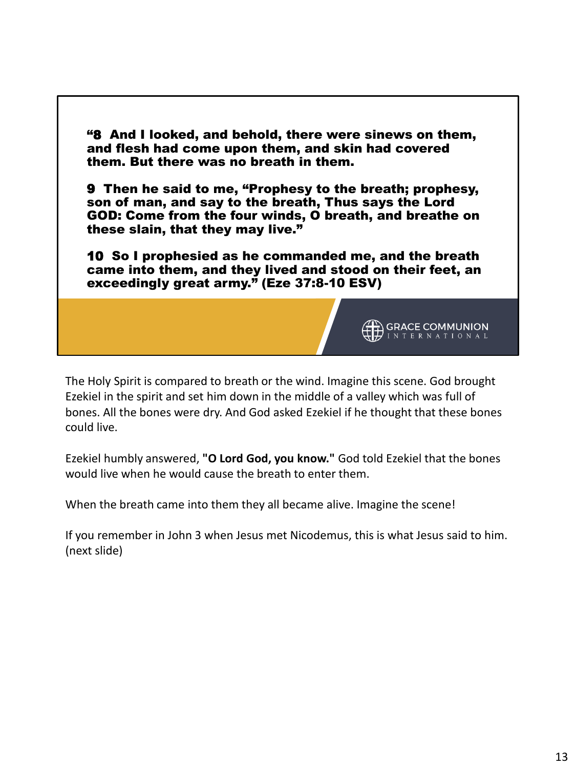

The Holy Spirit is compared to breath or the wind. Imagine this scene. God brought Ezekiel in the spirit and set him down in the middle of a valley which was full of bones. All the bones were dry. And God asked Ezekiel if he thought that these bones could live.

Ezekiel humbly answered, **"O Lord God, you know."** God told Ezekiel that the bones would live when he would cause the breath to enter them.

When the breath came into them they all became alive. Imagine the scene!

If you remember in John 3 when Jesus met Nicodemus, this is what Jesus said to him. (next slide)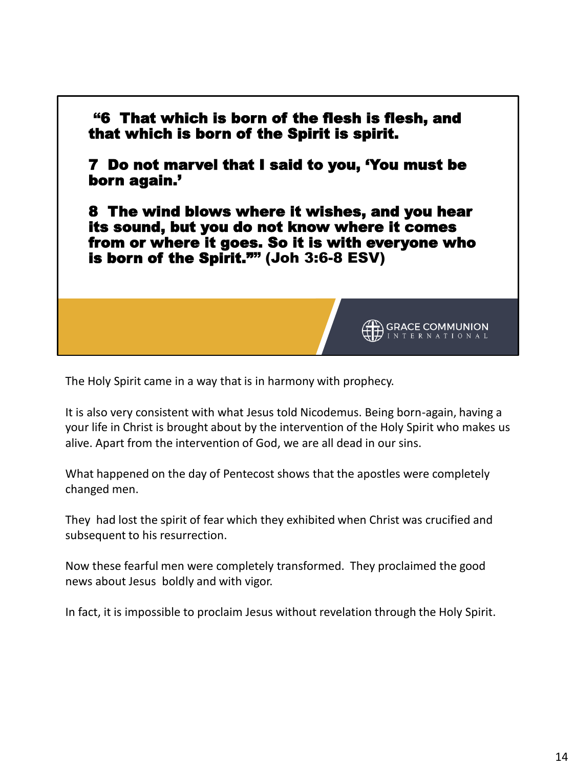

The Holy Spirit came in a way that is in harmony with prophecy.

It is also very consistent with what Jesus told Nicodemus. Being born-again, having a your life in Christ is brought about by the intervention of the Holy Spirit who makes us alive. Apart from the intervention of God, we are all dead in our sins.

What happened on the day of Pentecost shows that the apostles were completely changed men.

They had lost the spirit of fear which they exhibited when Christ was crucified and subsequent to his resurrection.

Now these fearful men were completely transformed. They proclaimed the good news about Jesus boldly and with vigor.

In fact, it is impossible to proclaim Jesus without revelation through the Holy Spirit.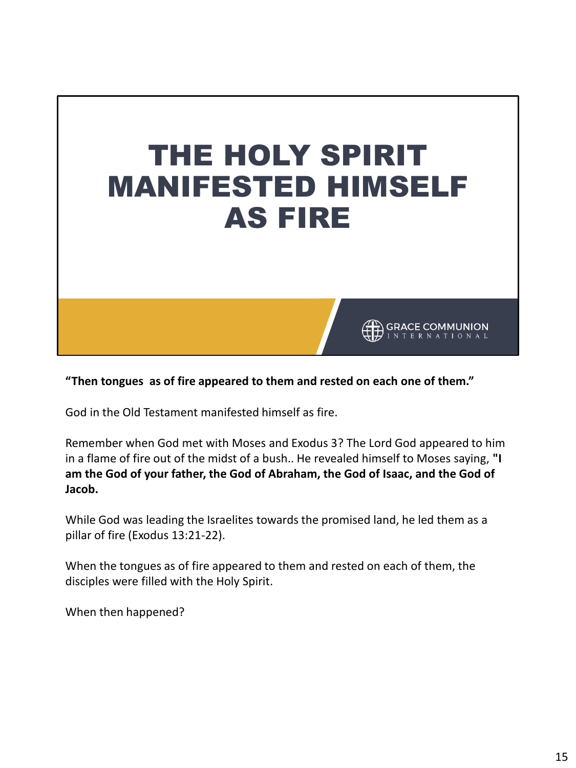

**"Then tongues as of fire appeared to them and rested on each one of them."**

God in the Old Testament manifested himself as fire.

Remember when God met with Moses and Exodus 3? The Lord God appeared to him in a flame of fire out of the midst of a bush.. He revealed himself to Moses saying, **"I am the God of your father, the God of Abraham, the God of Isaac, and the God of Jacob.** 

While God was leading the Israelites towards the promised land, he led them as a pillar of fire (Exodus 13:21-22).

When the tongues as of fire appeared to them and rested on each of them, the disciples were filled with the Holy Spirit.

When then happened?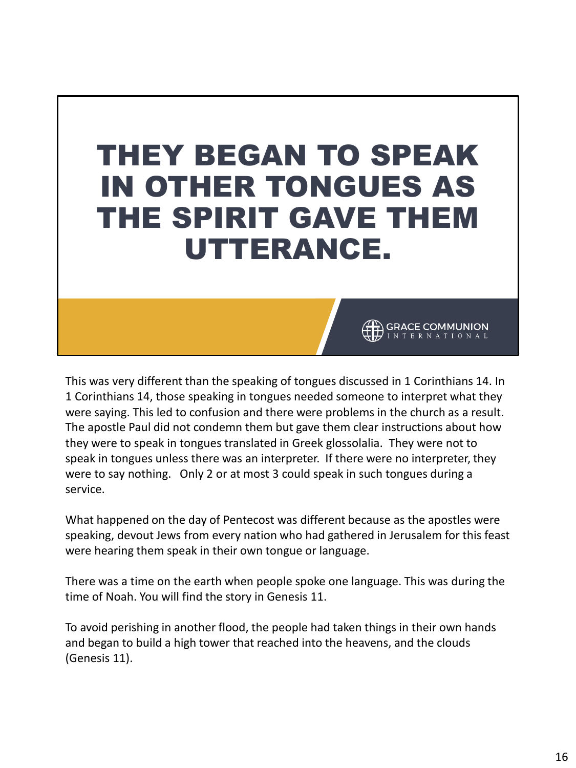## THEY BEGAN TO SPEAK IN OTHER TONGUES AS THE SPIRIT GAVE THEM UTTERANCE.

This was very different than the speaking of tongues discussed in 1 Corinthians 14. In 1 Corinthians 14, those speaking in tongues needed someone to interpret what they were saying. This led to confusion and there were problems in the church as a result. The apostle Paul did not condemn them but gave them clear instructions about how they were to speak in tongues translated in Greek glossolalia. They were not to speak in tongues unless there was an interpreter. If there were no interpreter, they were to say nothing. Only 2 or at most 3 could speak in such tongues during a service.

**GRACE COMMUNION** 

What happened on the day of Pentecost was different because as the apostles were speaking, devout Jews from every nation who had gathered in Jerusalem for this feast were hearing them speak in their own tongue or language.

There was a time on the earth when people spoke one language. This was during the time of Noah. You will find the story in Genesis 11.

To avoid perishing in another flood, the people had taken things in their own hands and began to build a high tower that reached into the heavens, and the clouds (Genesis 11).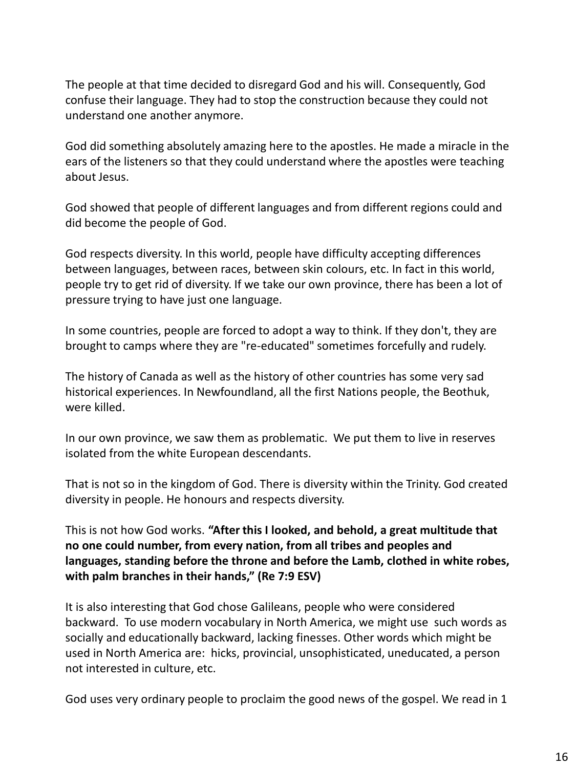The people at that time decided to disregard God and his will. Consequently, God confuse their language. They had to stop the construction because they could not understand one another anymore.

God did something absolutely amazing here to the apostles. He made a miracle in the ears of the listeners so that they could understand where the apostles were teaching about Jesus.

God showed that people of different languages and from different regions could and did become the people of God.

God respects diversity. In this world, people have difficulty accepting differences between languages, between races, between skin colours, etc. In fact in this world, people try to get rid of diversity. If we take our own province, there has been a lot of pressure trying to have just one language.

In some countries, people are forced to adopt a way to think. If they don't, they are brought to camps where they are "re-educated" sometimes forcefully and rudely.

The history of Canada as well as the history of other countries has some very sad historical experiences. In Newfoundland, all the first Nations people, the Beothuk, were killed.

In our own province, we saw them as problematic. We put them to live in reserves isolated from the white European descendants.

That is not so in the kingdom of God. There is diversity within the Trinity. God created diversity in people. He honours and respects diversity.

This is not how God works. **"After this I looked, and behold, a great multitude that no one could number, from every nation, from all tribes and peoples and languages, standing before the throne and before the Lamb, clothed in white robes, with palm branches in their hands," (Re 7:9 ESV)**

It is also interesting that God chose Galileans, people who were considered backward. To use modern vocabulary in North America, we might use such words as socially and educationally backward, lacking finesses. Other words which might be used in North America are: hicks, provincial, unsophisticated, uneducated, a person not interested in culture, etc.

God uses very ordinary people to proclaim the good news of the gospel. We read in 1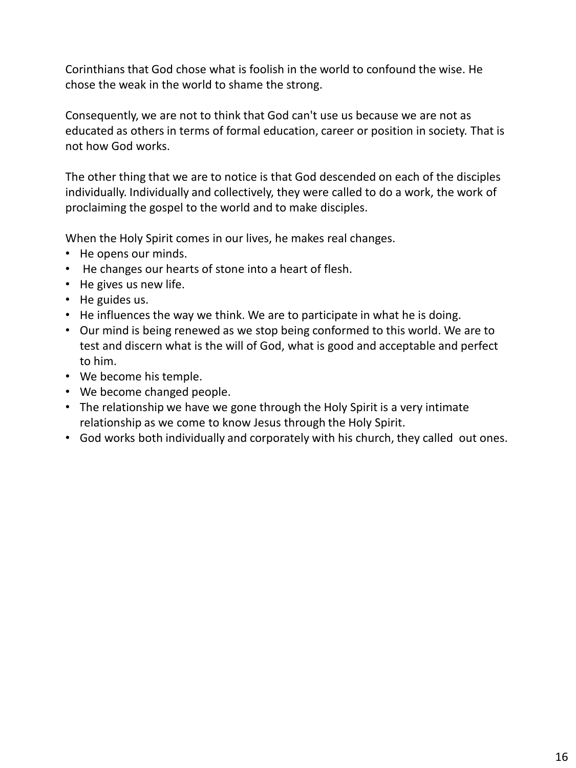Corinthians that God chose what is foolish in the world to confound the wise. He chose the weak in the world to shame the strong.

Consequently, we are not to think that God can't use us because we are not as educated as others in terms of formal education, career or position in society. That is not how God works.

The other thing that we are to notice is that God descended on each of the disciples individually. Individually and collectively, they were called to do a work, the work of proclaiming the gospel to the world and to make disciples.

When the Holy Spirit comes in our lives, he makes real changes.

- He opens our minds.
- He changes our hearts of stone into a heart of flesh.
- He gives us new life.
- He guides us.
- He influences the way we think. We are to participate in what he is doing.
- Our mind is being renewed as we stop being conformed to this world. We are to test and discern what is the will of God, what is good and acceptable and perfect to him.
- We become his temple.
- We become changed people.
- The relationship we have we gone through the Holy Spirit is a very intimate relationship as we come to know Jesus through the Holy Spirit.
- God works both individually and corporately with his church, they called out ones.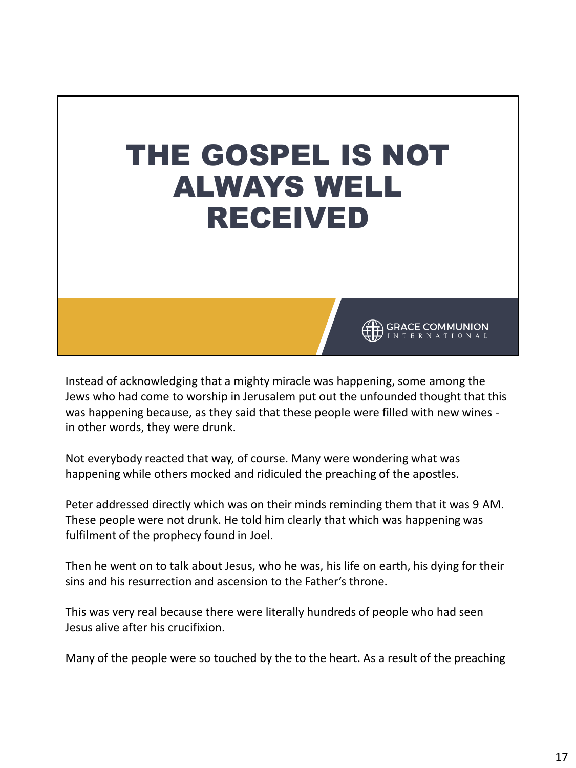

Instead of acknowledging that a mighty miracle was happening, some among the Jews who had come to worship in Jerusalem put out the unfounded thought that this was happening because, as they said that these people were filled with new wines in other words, they were drunk.

Not everybody reacted that way, of course. Many were wondering what was happening while others mocked and ridiculed the preaching of the apostles.

Peter addressed directly which was on their minds reminding them that it was 9 AM. These people were not drunk. He told him clearly that which was happening was fulfilment of the prophecy found in Joel.

Then he went on to talk about Jesus, who he was, his life on earth, his dying for their sins and his resurrection and ascension to the Father's throne.

This was very real because there were literally hundreds of people who had seen Jesus alive after his crucifixion.

Many of the people were so touched by the to the heart. As a result of the preaching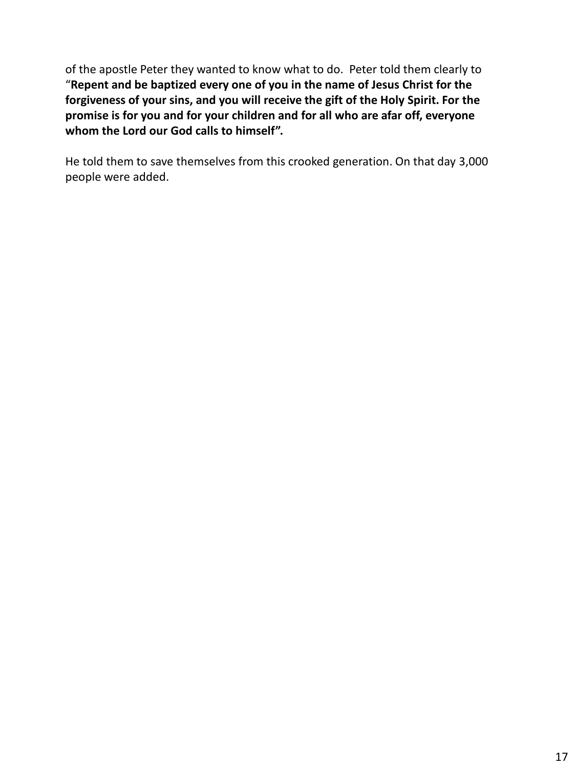of the apostle Peter they wanted to know what to do. Peter told them clearly to "**Repent and be baptized every one of you in the name of Jesus Christ for the forgiveness of your sins, and you will receive the gift of the Holy Spirit. For the promise is for you and for your children and for all who are afar off, everyone whom the Lord our God calls to himself".**

He told them to save themselves from this crooked generation. On that day 3,000 people were added.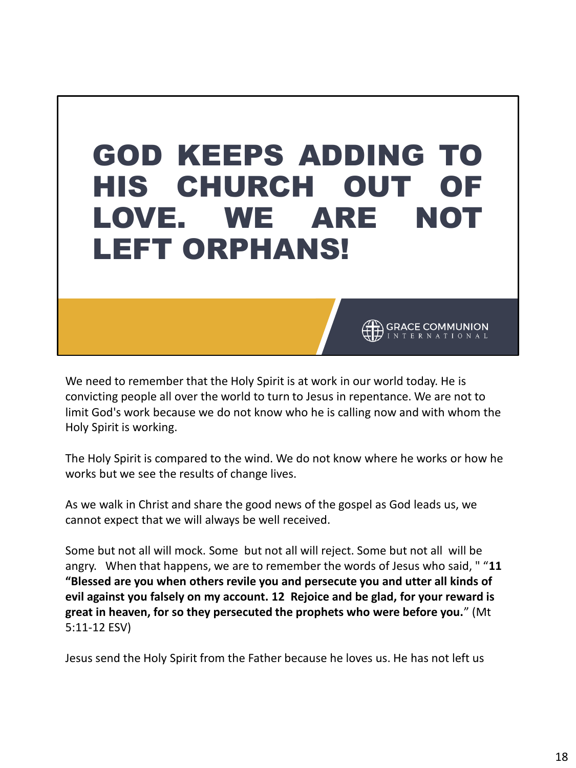## GOD KEEPS ADDING TO HIS CHURCH OUT OF LOVE. WE ARE NOT LEFT ORPHANS!

We need to remember that the Holy Spirit is at work in our world today. He is convicting people all over the world to turn to Jesus in repentance. We are not to limit God's work because we do not know who he is calling now and with whom the Holy Spirit is working.

**GRACE COMMUNION** 

The Holy Spirit is compared to the wind. We do not know where he works or how he works but we see the results of change lives.

As we walk in Christ and share the good news of the gospel as God leads us, we cannot expect that we will always be well received.

Some but not all will mock. Some but not all will reject. Some but not all will be angry. When that happens, we are to remember the words of Jesus who said, " "**11 "Blessed are you when others revile you and persecute you and utter all kinds of evil against you falsely on my account. 12 Rejoice and be glad, for your reward is great in heaven, for so they persecuted the prophets who were before you.**" (Mt 5:11-12 ESV)

Jesus send the Holy Spirit from the Father because he loves us. He has not left us